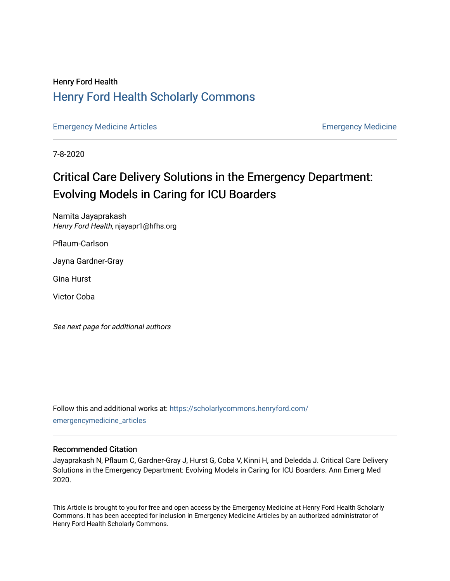# Henry Ford Health [Henry Ford Health Scholarly Commons](https://scholarlycommons.henryford.com/)

[Emergency Medicine Articles](https://scholarlycommons.henryford.com/emergencymedicine_articles) **Emergency Medicine** 

7-8-2020

# Critical Care Delivery Solutions in the Emergency Department: Evolving Models in Caring for ICU Boarders

Namita Jayaprakash Henry Ford Health, njayapr1@hfhs.org

Pflaum-Carlson

Jayna Gardner-Gray

Gina Hurst

Victor Coba

See next page for additional authors

Follow this and additional works at: [https://scholarlycommons.henryford.com/](https://scholarlycommons.henryford.com/emergencymedicine_articles?utm_source=scholarlycommons.henryford.com%2Femergencymedicine_articles%2F199&utm_medium=PDF&utm_campaign=PDFCoverPages) [emergencymedicine\\_articles](https://scholarlycommons.henryford.com/emergencymedicine_articles?utm_source=scholarlycommons.henryford.com%2Femergencymedicine_articles%2F199&utm_medium=PDF&utm_campaign=PDFCoverPages) 

# Recommended Citation

Jayaprakash N, Pflaum C, Gardner-Gray J, Hurst G, Coba V, Kinni H, and Deledda J. Critical Care Delivery Solutions in the Emergency Department: Evolving Models in Caring for ICU Boarders. Ann Emerg Med 2020.

This Article is brought to you for free and open access by the Emergency Medicine at Henry Ford Health Scholarly Commons. It has been accepted for inclusion in Emergency Medicine Articles by an authorized administrator of Henry Ford Health Scholarly Commons.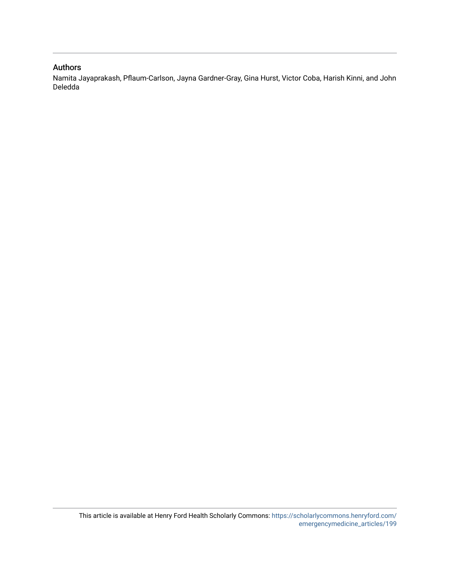# Authors

Namita Jayaprakash, Pflaum-Carlson, Jayna Gardner-Gray, Gina Hurst, Victor Coba, Harish Kinni, and John Deledda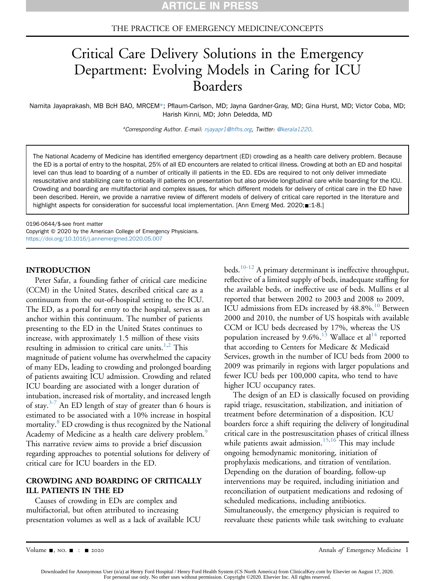# THE PRACTICE OF EMERGENCY MEDICINE/CONCEPTS

# Critical Care Delivery Solutions in the Emergency Department: Evolving Models in Caring for ICU Boarders

Namita Jayaprakash, MB BcH BAO, MRCEM\*; Pflaum-Carlson, MD; Jayna Gardner-Gray, MD; Gina Hurst, MD; Victor Coba, MD; Harish Kinni, MD; John Deledda, MD

\*Corresponding Author. E-mail: [njayapr1@hfhs.org,](mailto:njayapr1@hfhs.org) Twitter: [@kerala1220](https://twitter.com/kerala1220).

The National Academy of Medicine has identified emergency department (ED) crowding as a health care delivery problem. Because the ED is a portal of entry to the hospital, 25% of all ED encounters are related to critical illness. Crowding at both an ED and hospital level can thus lead to boarding of a number of critically ill patients in the ED. EDs are required to not only deliver immediate resuscitative and stabilizing care to critically ill patients on presentation but also provide longitudinal care while boarding for the ICU. Crowding and boarding are multifactorial and complex issues, for which different models for delivery of critical care in the ED have been described. Herein, we provide a narrative review of different models of delivery of critical care reported in the literature and highlight aspects for consideration for successful local implementation. [Ann Emerg Med. 2020; =: 1-8.]

0196-0644/\$-see front matter Copyright © 2020 by the American College of Emergency Physicians. <https://doi.org/10.1016/j.annemergmed.2020.05.007>

### INTRODUCTION

Peter Safar, a founding father of critical care medicine (CCM) in the United States, described critical care as a continuum from the out-of-hospital setting to the ICU. The ED, as a portal for entry to the hospital, serves as an anchor within this continuum. The number of patients presenting to the ED in the United States continues to increase, with approximately 1.5 million of these visits resulting in admission to critical care units.<sup>[1,](#page-8-0)[2](#page-8-1)</sup> This magnitude of patient volume has overwhelmed the capacity of many EDs, leading to crowding and prolonged boarding of patients awaiting ICU admission. Crowding and related ICU boarding are associated with a longer duration of intubation, increased risk of mortality, and increased length of stay.<sup>[3-7](#page-8-2)</sup> An ED length of stay of greater than 6 hours is estimated to be associated with a 10% increase in hospital mortality.<sup>8</sup> ED crowding is thus recognized by the National Academy of Medicine as a health care delivery problem.<sup>9</sup> This narrative review aims to provide a brief discussion regarding approaches to potential solutions for delivery of critical care for ICU boarders in the ED.

# CROWDING AND BOARDING OF CRITICALLY ILL PATIENTS IN THE ED

Causes of crowding in EDs are complex and multifactorial, but often attributed to increasing presentation volumes as well as a lack of available ICU beds.<sup>10-12</sup> A primary determinant is ineffective throughput, reflective of a limited supply of beds, inadequate staffing for the available beds, or ineffective use of beds. Mullins et al reported that between 2002 to 2003 and 2008 to 2009, ICU admissions from EDs increased by 48.8%.<sup>10</sup> Between 2000 and 2010, the number of US hospitals with available CCM or ICU beds decreased by 17%, whereas the US population increased by 9.6%.<sup>13</sup> Wallace et al<sup>[14](#page-9-0)</sup> reported that according to Centers for Medicare & Medicaid Services, growth in the number of ICU beds from 2000 to 2009 was primarily in regions with larger populations and fewer ICU beds per 100,000 capita, who tend to have higher ICU occupancy rates.

The design of an ED is classically focused on providing rapid triage, resuscitation, stabilization, and initiation of treatment before determination of a disposition. ICU boarders force a shift requiring the delivery of longitudinal critical care in the postresuscitation phases of critical illness while patients await admission.<sup>[15](#page-9-1)[,16](#page-9-2)</sup> This may include ongoing hemodynamic monitoring, initiation of prophylaxis medications, and titration of ventilation. Depending on the duration of boarding, follow-up interventions may be required, including initiation and reconciliation of outpatient medications and redosing of scheduled medications, including antibiotics. Simultaneously, the emergency physician is required to reevaluate these patients while task switching to evaluate

Volume -, no. - : - 2020 Annals of Emergency Medicine 1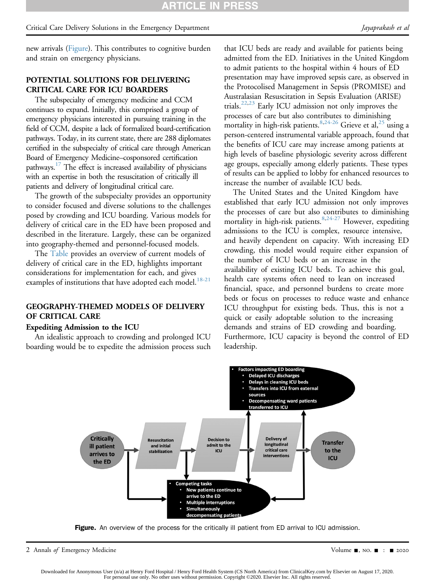new arrivals ([Figure](#page-3-0)). This contributes to cognitive burden and strain on emergency physicians.

# POTENTIAL SOLUTIONS FOR DELIVERING CRITICAL CARE FOR ICU BOARDERS

The subspecialty of emergency medicine and CCM continues to expand. Initially, this comprised a group of emergency physicians interested in pursuing training in the field of CCM, despite a lack of formalized board-certification pathways. Today, in its current state, there are 288 diplomates certified in the subspecialty of critical care through American Board of Emergency Medicine–cosponsored certification pathways.<sup>17</sup> The effect is increased availability of physicians with an expertise in both the resuscitation of critically ill patients and delivery of longitudinal critical care.

The growth of the subspecialty provides an opportunity to consider focused and diverse solutions to the challenges posed by crowding and ICU boarding. Various models for delivery of critical care in the ED have been proposed and described in the literature. Largely, these can be organized into geography-themed and personnel-focused models.

The [Table](#page-4-0) provides an overview of current models of delivery of critical care in the ED, highlights important considerations for implementation for each, and gives examples of institutions that have adopted each model.<sup>[18-21](#page-9-4)</sup>

# GEOGRAPHY-THEMED MODELS OF DELIVERY OF CRITICAL CARE

# Expediting Admission to the ICU

<span id="page-3-0"></span>An idealistic approach to crowding and prolonged ICU boarding would be to expedite the admission process such

that ICU beds are ready and available for patients being admitted from the ED. Initiatives in the United Kingdom to admit patients to the hospital within 4 hours of ED presentation may have improved sepsis care, as observed in the Protocolised Management in Sepsis (PROMISE) and Australasian Resuscitation in Sepsis Evaluation (ARISE) trials[.22,](#page-9-5)[23](#page-9-6) Early ICU admission not only improves the processes of care but also contributes to diminishing mortality in high-risk patients.<sup>[8](#page-8-3)[,24-26](#page-9-7)</sup> Grieve et al,<sup>[25](#page-9-8)</sup> using a person-centered instrumental variable approach, found that the benefits of ICU care may increase among patients at high levels of baseline physiologic severity across different age groups, especially among elderly patients. These types of results can be applied to lobby for enhanced resources to increase the number of available ICU beds.

The United States and the United Kingdom have established that early ICU admission not only improves the processes of care but also contributes to diminishing mortality in high-risk patients.<sup>[8,](#page-8-3)[24-27](#page-9-7)</sup> However, expediting admissions to the ICU is complex, resource intensive, and heavily dependent on capacity. With increasing ED crowding, this model would require either expansion of the number of ICU beds or an increase in the availability of existing ICU beds. To achieve this goal, health care systems often need to lean on increased financial, space, and personnel burdens to create more beds or focus on processes to reduce waste and enhance ICU throughput for existing beds. Thus, this is not a quick or easily adoptable solution to the increasing demands and strains of ED crowding and boarding. Furthermore, ICU capacity is beyond the control of ED leadership.



Figure. An overview of the process for the critically ill patient from ED arrival to ICU admission.

2 Annals of Emergency Medicine Contract Contract Contract Contract Contract Contract Contract Contract Contract Contract Contract Oriental Application Contract Contract Contract Contract Contract Contract Contract Contract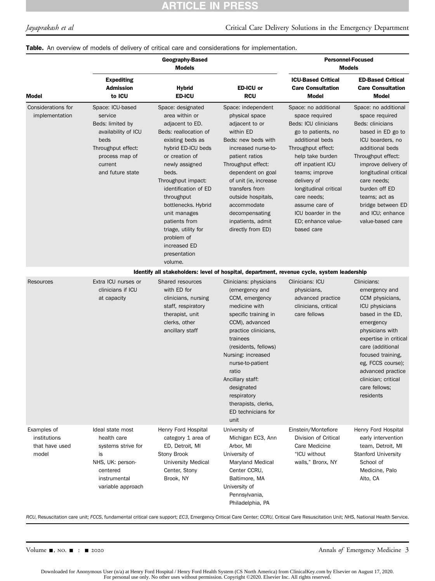# **ARTICLE IN PRESS**

### Table. An overview of models of delivery of critical care and considerations for implementation.

|                                                                                            | <b>Geography-Based</b><br><b>Models</b>                                                                                                               |                                                                                                                                                                                                                                                                                                                                                                            |                                                                                                                                                                                                                                                                                                                                            | <b>Personnel-Focused</b><br><b>Models</b>                                                                                                                                                                                                                                                                                   |                                                                                                                                                                                                                                                                                                            |
|--------------------------------------------------------------------------------------------|-------------------------------------------------------------------------------------------------------------------------------------------------------|----------------------------------------------------------------------------------------------------------------------------------------------------------------------------------------------------------------------------------------------------------------------------------------------------------------------------------------------------------------------------|--------------------------------------------------------------------------------------------------------------------------------------------------------------------------------------------------------------------------------------------------------------------------------------------------------------------------------------------|-----------------------------------------------------------------------------------------------------------------------------------------------------------------------------------------------------------------------------------------------------------------------------------------------------------------------------|------------------------------------------------------------------------------------------------------------------------------------------------------------------------------------------------------------------------------------------------------------------------------------------------------------|
| <b>Model</b>                                                                               | <b>Expediting</b><br><b>Admission</b><br>to ICU                                                                                                       | <b>Hybrid</b><br><b>ED-ICU</b>                                                                                                                                                                                                                                                                                                                                             | ED-ICU or<br><b>RCU</b>                                                                                                                                                                                                                                                                                                                    | <b>ICU-Based Critical</b><br><b>Care Consultation</b><br>Model                                                                                                                                                                                                                                                              | <b>ED-Based Critical</b><br><b>Care Consultation</b><br><b>Model</b>                                                                                                                                                                                                                                       |
| Considerations for<br>implementation                                                       | Space: ICU-based<br>service<br>Beds: limited by<br>availability of ICU<br>beds<br>Throughput effect:<br>process map of<br>current<br>and future state | Space: designated<br>area within or<br>adjacent to ED.<br>Beds: reallocation of<br>existing beds as<br>hybrid ED-ICU beds<br>or creation of<br>newly assigned<br>beds.<br>Throughput impact:<br>identification of ED<br>throughput<br>bottlenecks. Hybrid<br>unit manages<br>patients from<br>triage, utility for<br>problem of<br>increased ED<br>presentation<br>volume. | Space: independent<br>physical space<br>adjacent to or<br>within ED<br>Beds: new beds with<br>increased nurse-to-<br>patient ratios<br>Throughput effect:<br>dependent on goal<br>of unit (ie, increase<br>transfers from<br>outside hospitals,<br>accommodate<br>decompensating<br>inpatients, admit<br>directly from ED)                 | Space: no additional<br>space required<br>Beds: ICU clinicians<br>go to patients, no<br>additional beds<br>Throughput effect:<br>help take burden<br>off inpatient ICU<br>teams; improve<br>delivery of<br>longitudinal critical<br>care needs;<br>assume care of<br>ICU boarder in the<br>ED; enhance value-<br>based care | Space: no additional<br>space required<br>Beds: clinicians<br>based in ED go to<br>ICU boarders, no<br>additional beds<br>Throughput effect:<br>improve delivery of<br>longitudinal critical<br>care needs;<br>burden off ED<br>teams; act as<br>bridge between ED<br>and ICU; enhance<br>value-based care |
| Identify all stakeholders: level of hospital, department, revenue cycle, system leadership |                                                                                                                                                       |                                                                                                                                                                                                                                                                                                                                                                            |                                                                                                                                                                                                                                                                                                                                            |                                                                                                                                                                                                                                                                                                                             |                                                                                                                                                                                                                                                                                                            |
| Resources                                                                                  | Extra ICU nurses or<br>clinicians if ICU<br>at capacity                                                                                               | Shared resources<br>with ED for<br>clinicians, nursing<br>staff, respiratory<br>therapist, unit<br>clerks, other<br>ancillary staff                                                                                                                                                                                                                                        | Clinicians: physicians<br>(emergency and<br>CCM, emergency<br>medicine with<br>specific training in<br>CCM), advanced<br>practice clinicians,<br>trainees<br>(residents, fellows)<br>Nursing: increased<br>nurse-to-patient<br>ratio<br>Ancillary staff:<br>designated<br>respiratory<br>therapists, clerks,<br>ED technicians for<br>unit | Clinicians: ICU<br>physicians,<br>advanced practice<br>clinicians, critical<br>care fellows                                                                                                                                                                                                                                 | Clinicians:<br>emergency and<br>CCM physicians,<br><b>ICU</b> physicians<br>based in the ED,<br>emergency<br>physicians with<br>expertise in critical<br>care (additional<br>focused training,<br>eg, FCCS course);<br>advanced practice<br>clinician; critical<br>care fellows;<br>residents              |
| Examples of<br>institutions<br>that have used<br>model                                     | Ideal state most<br>health care<br>systems strive for<br>is<br>NHS, UK: person-<br>centered<br>instrumental<br>variable approach                      | Henry Ford Hospital<br>category 1 area of<br>ED, Detroit, MI<br>Stony Brook<br><b>University Medical</b><br>Center, Stony<br>Brook, NY                                                                                                                                                                                                                                     | University of<br>Michigan EC3, Ann<br>Arbor, MI<br>University of<br>Maryland Medical<br>Center CCRU,<br>Baltimore, MA<br>University of<br>Pennsylvania,<br>Philadelphia, PA                                                                                                                                                                | Einstein/Montefiore<br>Division of Critical<br>Care Medicine<br>"ICU without<br>walls," Bronx, NY                                                                                                                                                                                                                           | Henry Ford Hospital<br>early intervention<br>team, Detroit, MI<br><b>Stanford University</b><br>School of<br>Medicine, Palo<br>Alto, CA                                                                                                                                                                    |

<span id="page-4-0"></span>RCU, Resuscitation care unit; FCCS, fundamental critical care support; EC3, Emergency Critical Care Center; CCRU, Critical Care Resuscitation Unit; NHS, National Health Service.

Volume -, no. - : - 2020 Annals of Emergency Medicine 3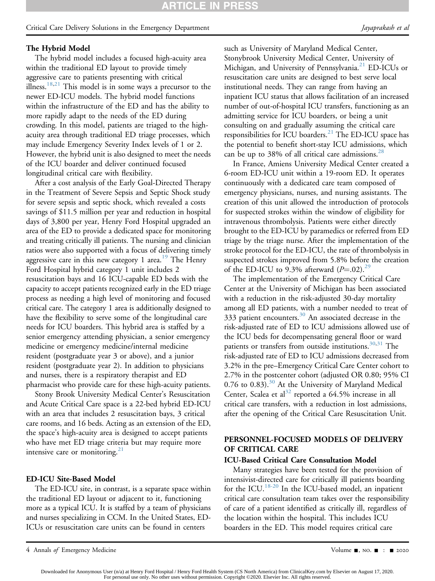# The Hybrid Model

The hybrid model includes a focused high-acuity area within the traditional ED layout to provide timely aggressive care to patients presenting with critical illness.<sup>[18](#page-9-4)[,21](#page-9-9)</sup> This model is in some ways a precursor to the newer ED-ICU models. The hybrid model functions within the infrastructure of the ED and has the ability to more rapidly adapt to the needs of the ED during crowding. In this model, patients are triaged to the highacuity area through traditional ED triage processes, which may include Emergency Severity Index levels of 1 or 2. However, the hybrid unit is also designed to meet the needs of the ICU boarder and deliver continued focused longitudinal critical care with flexibility.

After a cost analysis of the Early Goal-Directed Therapy in the Treatment of Severe Sepsis and Septic Shock study for severe sepsis and septic shock, which revealed a costs savings of \$11.5 million per year and reduction in hospital days of 3,800 per year, Henry Ford Hospital upgraded an area of the ED to provide a dedicated space for monitoring and treating critically ill patients. The nursing and clinician ratios were also supported with a focus of delivering timely aggressive care in this new category 1 area.<sup>[19](#page-9-10)</sup> The Henry Ford Hospital hybrid category 1 unit includes 2 resuscitation bays and 16 ICU-capable ED beds with the capacity to accept patients recognized early in the ED triage process as needing a high level of monitoring and focused critical care. The category 1 area is additionally designed to have the flexibility to serve some of the longitudinal care needs for ICU boarders. This hybrid area is staffed by a senior emergency attending physician, a senior emergency medicine or emergency medicine/internal medicine resident (postgraduate year 3 or above), and a junior resident (postgraduate year 2). In addition to physicians and nurses, there is a respiratory therapist and ED pharmacist who provide care for these high-acuity patients.

Stony Brook University Medical Center's Resuscitation and Acute Critical Care space is a 22-bed hybrid ED-ICU with an area that includes 2 resuscitation bays, 3 critical care rooms, and 16 beds. Acting as an extension of the ED, the space's high-acuity area is designed to accept patients who have met ED triage criteria but may require more intensive care or monitoring. $21$ 

# ED-ICU Site-Based Model

The ED-ICU site, in contrast, is a separate space within the traditional ED layout or adjacent to it, functioning more as a typical ICU. It is staffed by a team of physicians and nurses specializing in CCM. In the United States, ED-ICUs or resuscitation care units can be found in centers

such as University of Maryland Medical Center, Stonybrook University Medical Center, University of Michigan, and University of Pennsylvania.<sup>[21](#page-9-9)</sup> ED-ICUs or resuscitation care units are designed to best serve local institutional needs. They can range from having an inpatient ICU status that allows facilitation of an increased number of out-of-hospital ICU transfers, functioning as an admitting service for ICU boarders, or being a unit consulting on and gradually assuming the critical care responsibilities for ICU boarders.<sup>[21](#page-9-9)</sup> The ED-ICU space has the potential to benefit short-stay ICU admissions, which can be up to 38% of all critical care admissions. $^{28}$ 

In France, Amiens University Medical Center created a 6-room ED-ICU unit within a 19-room ED. It operates continuously with a dedicated care team composed of emergency physicians, nurses, and nursing assistants. The creation of this unit allowed the introduction of protocols for suspected strokes within the window of eligibility for intravenous thrombolysis. Patients were either directly brought to the ED-ICU by paramedics or referred from ED triage by the triage nurse. After the implementation of the stroke protocol for the ED-ICU, the rate of thrombolysis in suspected strokes improved from 5.8% before the creation of the ED-ICU to 9.3% afterward  $(P=.02)$ .<sup>29</sup>

The implementation of the Emergency Critical Care Center at the University of Michigan has been associated with a reduction in the risk-adjusted 30-day mortality among all ED patients, with a number needed to treat of 333 patient encounters. $30$  An associated decrease in the risk-adjusted rate of ED to ICU admissions allowed use of the ICU beds for decompensating general floor or ward patients or transfers from outside institutions.<sup>[30,](#page-9-13)[31](#page-9-14)</sup> The risk-adjusted rate of ED to ICU admissions decreased from 3.2% in the pre–Emergency Critical Care Center cohort to 2.7% in the postcenter cohort (adjusted OR 0.80; 95% CI  $0.76$  to  $0.83$ ).<sup>[30](#page-9-13)</sup> At the University of Maryland Medical Center, Scalea et al<sup>[32](#page-9-15)</sup> reported a 64.5% increase in all critical care transfers, with a reduction in lost admissions, after the opening of the Critical Care Resuscitation Unit.

# PERSONNEL-FOCUSED MODELS OF DELIVERY OF CRITICAL CARE

# ICU-Based Critical Care Consultation Model

Many strategies have been tested for the provision of intensivist-directed care for critically ill patients boarding for the ICU.<sup>[18-20](#page-9-4)</sup> In the ICU-based model, an inpatient critical care consultation team takes over the responsibility of care of a patient identified as critically ill, regardless of the location within the hospital. This includes ICU boarders in the ED. This model requires critical care

<sup>4</sup> Annals of Emergency Medicine Contract Contract Contract Contract Contract Contract Contract Contract Contract Contract Oriental Annual System of the Contract Oriental Annual System of the 2020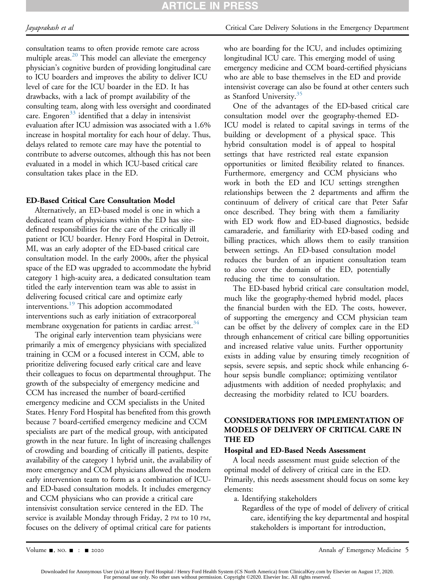# **ARTICLE IN PRESS**

consultation teams to often provide remote care across multiple areas.<sup>[20](#page-9-16)</sup> This model can alleviate the emergency physician's cognitive burden of providing longitudinal care to ICU boarders and improves the ability to deliver ICU level of care for the ICU boarder in the ED. It has drawbacks, with a lack of prompt availability of the consulting team, along with less oversight and coordinated care. Engoren<sup>[33](#page-9-17)</sup> identified that a delay in intensivist evaluation after ICU admission was associated with a 1.6% increase in hospital mortality for each hour of delay. Thus, delays related to remote care may have the potential to contribute to adverse outcomes, although this has not been evaluated in a model in which ICU-based critical care consultation takes place in the ED.

# ED-Based Critical Care Consultation Model

Alternatively, an ED-based model is one in which a dedicated team of physicians within the ED has sitedefined responsibilities for the care of the critically ill patient or ICU boarder. Henry Ford Hospital in Detroit, MI, was an early adopter of the ED-based critical care consultation model. In the early 2000s, after the physical space of the ED was upgraded to accommodate the hybrid category 1 high-acuity area, a dedicated consultation team titled the early intervention team was able to assist in delivering focused critical care and optimize early interventions.<sup>[19](#page-9-10)</sup> This adoption accommodated interventions such as early initiation of extracorporeal membrane oxygenation for patients in cardiac arrest.<sup>[34](#page-9-18)</sup>

The original early intervention team physicians were primarily a mix of emergency physicians with specialized training in CCM or a focused interest in CCM, able to prioritize delivering focused early critical care and leave their colleagues to focus on departmental throughput. The growth of the subspecialty of emergency medicine and CCM has increased the number of board-certified emergency medicine and CCM specialists in the United States. Henry Ford Hospital has benefited from this growth because 7 board-certified emergency medicine and CCM specialists are part of the medical group, with anticipated growth in the near future. In light of increasing challenges of crowding and boarding of critically ill patients, despite availability of the category 1 hybrid unit, the availability of more emergency and CCM physicians allowed the modern early intervention team to form as a combination of ICUand ED-based consultation models. It includes emergency and CCM physicians who can provide a critical care intensivist consultation service centered in the ED. The service is available Monday through Friday, 2 PM to 10 PM, focuses on the delivery of optimal critical care for patients

# Jayaprakash et al Critical Care Delivery Solutions in the Emergency Department

who are boarding for the ICU, and includes optimizing longitudinal ICU care. This emerging model of using emergency medicine and CCM board-certified physicians who are able to base themselves in the ED and provide intensivist coverage can also be found at other centers such as Stanford University.[35](#page-9-19)

One of the advantages of the ED-based critical care consultation model over the geography-themed ED-ICU model is related to capital savings in terms of the building or development of a physical space. This hybrid consultation model is of appeal to hospital settings that have restricted real estate expansion opportunities or limited flexibility related to finances. Furthermore, emergency and CCM physicians who work in both the ED and ICU settings strengthen relationships between the 2 departments and affirm the continuum of delivery of critical care that Peter Safar once described. They bring with them a familiarity with ED work flow and ED-based diagnostics, bedside camaraderie, and familiarity with ED-based coding and billing practices, which allows them to easily transition between settings. An ED-based consultation model reduces the burden of an inpatient consultation team to also cover the domain of the ED, potentially reducing the time to consultation.

The ED-based hybrid critical care consultation model, much like the geography-themed hybrid model, places the financial burden with the ED. The costs, however, of supporting the emergency and CCM physician team can be offset by the delivery of complex care in the ED through enhancement of critical care billing opportunities and increased relative value units. Further opportunity exists in adding value by ensuring timely recognition of sepsis, severe sepsis, and septic shock while enhancing 6 hour sepsis bundle compliance; optimizing ventilator adjustments with addition of needed prophylaxis; and decreasing the morbidity related to ICU boarders.

# CONSIDERATIONS FOR IMPLEMENTATION OF MODELS OF DELIVERY OF CRITICAL CARE IN THE ED

# Hospital and ED-Based Needs Assessment

A local needs assessment must guide selection of the optimal model of delivery of critical care in the ED. Primarily, this needs assessment should focus on some key elements:

a. Identifying stakeholders

Regardless of the type of model of delivery of critical care, identifying the key departmental and hospital stakeholders is important for introduction,

Volume  $\blacksquare$ , NO.  $\blacksquare$  :  $\blacksquare$  2020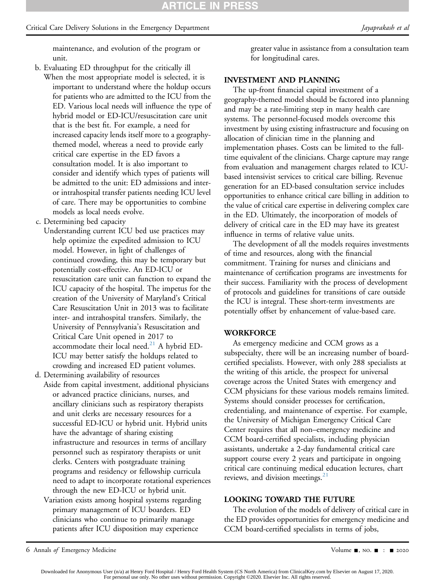maintenance, and evolution of the program or unit.

- b. Evaluating ED throughput for the critically ill When the most appropriate model is selected, it is important to understand where the holdup occurs for patients who are admitted to the ICU from the ED. Various local needs will influence the type of hybrid model or ED-ICU/resuscitation care unit that is the best fit. For example, a need for increased capacity lends itself more to a geographythemed model, whereas a need to provide early critical care expertise in the ED favors a consultation model. It is also important to consider and identify which types of patients will be admitted to the unit: ED admissions and interor intrahospital transfer patients needing ICU level of care. There may be opportunities to combine models as local needs evolve.
- c. Determining bed capacity
	- Understanding current ICU bed use practices may help optimize the expedited admission to ICU model. However, in light of challenges of continued crowding, this may be temporary but potentially cost-effective. An ED-ICU or resuscitation care unit can function to expand the ICU capacity of the hospital. The impetus for the creation of the University of Maryland's Critical Care Resuscitation Unit in 2013 was to facilitate inter- and intrahospital transfers. Similarly, the University of Pennsylvania's Resuscitation and Critical Care Unit opened in 2017 to accommodate their local need. $21$  A hybrid ED-ICU may better satisfy the holdups related to crowding and increased ED patient volumes.
- d. Determining availability of resources
- Aside from capital investment, additional physicians or advanced practice clinicians, nurses, and ancillary clinicians such as respiratory therapists and unit clerks are necessary resources for a successful ED-ICU or hybrid unit. Hybrid units have the advantage of sharing existing infrastructure and resources in terms of ancillary personnel such as respiratory therapists or unit clerks. Centers with postgraduate training programs and residency or fellowship curricula need to adapt to incorporate rotational experiences through the new ED-ICU or hybrid unit.
	- Variation exists among hospital systems regarding primary management of ICU boarders. ED clinicians who continue to primarily manage patients after ICU disposition may experience

greater value in assistance from a consultation team for longitudinal cares.

# INVESTMENT AND PLANNING

The up-front financial capital investment of a geography-themed model should be factored into planning and may be a rate-limiting step in many health care systems. The personnel-focused models overcome this investment by using existing infrastructure and focusing on allocation of clinician time in the planning and implementation phases. Costs can be limited to the fulltime equivalent of the clinicians. Charge capture may range from evaluation and management charges related to ICUbased intensivist services to critical care billing. Revenue generation for an ED-based consultation service includes opportunities to enhance critical care billing in addition to the value of critical care expertise in delivering complex care in the ED. Ultimately, the incorporation of models of delivery of critical care in the ED may have its greatest influence in terms of relative value units.

The development of all the models requires investments of time and resources, along with the financial commitment. Training for nurses and clinicians and maintenance of certification programs are investments for their success. Familiarity with the process of development of protocols and guidelines for transitions of care outside the ICU is integral. These short-term investments are potentially offset by enhancement of value-based care.

### **WORKFORCE**

As emergency medicine and CCM grows as a subspecialty, there will be an increasing number of boardcertified specialists. However, with only 288 specialists at the writing of this article, the prospect for universal coverage across the United States with emergency and CCM physicians for these various models remains limited. Systems should consider processes for certification, credentialing, and maintenance of expertise. For example, the University of Michigan Emergency Critical Care Center requires that all non–emergency medicine and CCM board-certified specialists, including physician assistants, undertake a 2-day fundamental critical care support course every 2 years and participate in ongoing critical care continuing medical education lectures, chart reviews, and division meetings. $21$ 

# LOOKING TOWARD THE FUTURE

The evolution of the models of delivery of critical care in the ED provides opportunities for emergency medicine and CCM board-certified specialists in terms of jobs,

6 Annals of Emergency Medicine Contract Contract Contract Contract Contract Contract Contract Contract Contract Contract Contract Oriental Application of the 2020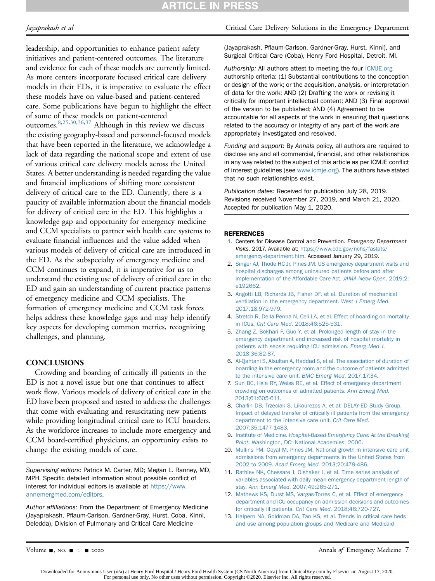# **ARTICLE IN PRESS**

leadership, and opportunities to enhance patient safety initiatives and patient-centered outcomes. The literature and evidence for each of these models are currently limited. As more centers incorporate focused critical care delivery models in their EDs, it is imperative to evaluate the effect these models have on value-based and patient-centered care. Some publications have begun to highlight the effect of some of these models on patient-centered outcomes.[8,](#page-8-3)[25](#page-9-8)[,30,](#page-9-13)[36,](#page-9-20)[37](#page-9-21) Although in this review we discuss the existing geography-based and personnel-focused models that have been reported in the literature, we acknowledge a lack of data regarding the national scope and extent of use of various critical care delivery models across the United States. A better understanding is needed regarding the value and financial implications of shifting more consistent delivery of critical care to the ED. Currently, there is a paucity of available information about the financial models for delivery of critical care in the ED. This highlights a knowledge gap and opportunity for emergency medicine and CCM specialists to partner with health care systems to evaluate financial influences and the value added when various models of delivery of critical care are introduced in the ED. As the subspecialty of emergency medicine and CCM continues to expand, it is imperative for us to understand the existing use of delivery of critical care in the ED and gain an understanding of current practice patterns of emergency medicine and CCM specialists. The formation of emergency medicine and CCM task forces helps address these knowledge gaps and may help identify key aspects for developing common metrics, recognizing challenges, and planning.

# **CONCLUSIONS**

Crowding and boarding of critically ill patients in the ED is not a novel issue but one that continues to affect work flow. Various models of delivery of critical care in the ED have been proposed and tested to address the challenges that come with evaluating and resuscitating new patients while providing longitudinal critical care to ICU boarders. As the workforce increases to include more emergency and CCM board-certified physicians, an opportunity exists to change the existing models of care.

Supervising editors: Patrick M. Carter, MD; Megan L. Ranney, MD, MPH. Specific detailed information about possible conflict of interest for individual editors is available at [https://www.](https://www.annemergmed.com/editors) [annemergmed.com/editors](https://www.annemergmed.com/editors).

Author affiliations: From the Department of Emergency Medicine (Jayaprakash, Pflaum-Carlson, Gardner-Gray, Hurst, Coba, Kinni, Deledda), Division of Pulmonary and Critical Care Medicine

## Jayaprakash et al Critical Care Delivery Solutions in the Emergency Department

(Jayaprakash, Pflaum-Carlson, Gardner-Gray, Hurst, Kinni), and Surgical Critical Care (Coba), Henry Ford Hospital, Detroit, MI.

Authorship: All authors attest to meeting the four [ICMJE.org](http://ICMJE.org) authorship criteria: (1) Substantial contributions to the conception or design of the work; or the acquisition, analysis, or interpretation of data for the work; AND (2) Drafting the work or revising it critically for important intellectual content; AND (3) Final approval of the version to be published; AND (4) Agreement to be accountable for all aspects of the work in ensuring that questions related to the accuracy or integrity of any part of the work are appropriately investigated and resolved.

Funding and support: By Annals policy, all authors are required to disclose any and all commercial, financial, and other relationships in any way related to the subject of this article as per ICMJE conflict of interest guidelines (see [www.icmje.org](http://www.icmje.org)). The authors have stated that no such relationships exist.

Publication dates: Received for publication July 28, 2019. Revisions received November 27, 2019, and March 21, 2020. Accepted for publication May 1, 2020.

### <span id="page-8-0"></span>REFERENCES

- 1. Centers for Disease Control and Prevention. Emergency Department Visits. 2017. Available at: [https://www.cdc.gov/nchs/fastats/](https://www.cdc.gov/nchs/fastats/emergency-department.htm) [emergency-department.htm](https://www.cdc.gov/nchs/fastats/emergency-department.htm). Accessed January 29, 2019.
- <span id="page-8-1"></span>2. [Singer AJ, Thode HC Jr, Pines JM. US emergency department visits and](http://refhub.elsevier.com/S0196-0644(20)30349-8/sref2) [hospital discharges among uninsured patients before and after](http://refhub.elsevier.com/S0196-0644(20)30349-8/sref2) [implementation of the Affordable Care Act.](http://refhub.elsevier.com/S0196-0644(20)30349-8/sref2) JAMA Netw Open. 2019;2: [e192662.](http://refhub.elsevier.com/S0196-0644(20)30349-8/sref2)
- <span id="page-8-2"></span>3. [Angotti LB, Richards JB, Fisher DF, et al. Duration of mechanical](http://refhub.elsevier.com/S0196-0644(20)30349-8/sref3) [ventilation in the emergency department.](http://refhub.elsevier.com/S0196-0644(20)30349-8/sref3) West J Emerg Med. [2017;18:972-979.](http://refhub.elsevier.com/S0196-0644(20)30349-8/sref3)
- 4. [Stretch R, Della Penna N, Celi LA, et al. Effect of boarding on mortality](http://refhub.elsevier.com/S0196-0644(20)30349-8/sref4) in ICUs. Crit Care Med[. 2018;46:525-531.](http://refhub.elsevier.com/S0196-0644(20)30349-8/sref4)
- 5. [Zhang Z, Bokhari F, Guo Y, et al. Prolonged length of stay in the](http://refhub.elsevier.com/S0196-0644(20)30349-8/sref5) [emergency department and increased risk of hospital mortality in](http://refhub.elsevier.com/S0196-0644(20)30349-8/sref5) [patients with sepsis requiring ICU admission.](http://refhub.elsevier.com/S0196-0644(20)30349-8/sref5) Emerg Med J. [2018;36:82-87.](http://refhub.elsevier.com/S0196-0644(20)30349-8/sref5)
- 6. [Al-Qahtani S, Alsultan A, Haddad S, et al. The association of duration of](http://refhub.elsevier.com/S0196-0644(20)30349-8/sref6) [boarding in the emergency room and the outcome of patients admitted](http://refhub.elsevier.com/S0196-0644(20)30349-8/sref6) [to the intensive care unit.](http://refhub.elsevier.com/S0196-0644(20)30349-8/sref6) BMC Emerg Med. 2017;17:34.
- 7. [Sun BC, Hsia RY, Weiss RE, et al. Effect of emergency department](http://refhub.elsevier.com/S0196-0644(20)30349-8/sref7) [crowding on outcomes of admitted patients.](http://refhub.elsevier.com/S0196-0644(20)30349-8/sref7) Ann Emerg Med. [2013;61:605-611.](http://refhub.elsevier.com/S0196-0644(20)30349-8/sref7)
- <span id="page-8-3"></span>8. Chalfi[n DB, Trzeciak S, Likourezos A, et al; DELAY-ED Study Group.](http://refhub.elsevier.com/S0196-0644(20)30349-8/sref8) [Impact of delayed transfer of critically ill patients from the emergency](http://refhub.elsevier.com/S0196-0644(20)30349-8/sref8) [department to the intensive care unit.](http://refhub.elsevier.com/S0196-0644(20)30349-8/sref8) Crit Care Med. [2007;35:1477-1483](http://refhub.elsevier.com/S0196-0644(20)30349-8/sref8).
- <span id="page-8-4"></span>9. Institute of Medicine. [Hospital-Based Emergency Care: At the Breaking](http://refhub.elsevier.com/S0196-0644(20)30349-8/sref9) Point[. Washington, DC: National Academies; 2006](http://refhub.elsevier.com/S0196-0644(20)30349-8/sref9).
- <span id="page-8-5"></span>10. [Mullins PM, Goyal M, Pines JM. National growth in intensive care unit](http://refhub.elsevier.com/S0196-0644(20)30349-8/sref10) [admissions from emergency departments in the United States from](http://refhub.elsevier.com/S0196-0644(20)30349-8/sref10) 2002 to 2009. Acad Emerg Med[. 2013;20:479-486.](http://refhub.elsevier.com/S0196-0644(20)30349-8/sref10)
- 11. [Rathlev NK, Chessare J, Olshaker J, et al. Time series analysis of](http://refhub.elsevier.com/S0196-0644(20)30349-8/sref11) [variables associated with daily mean emergency department length of](http://refhub.elsevier.com/S0196-0644(20)30349-8/sref11) stay. Ann Emerg Med[. 2007;49:265-271](http://refhub.elsevier.com/S0196-0644(20)30349-8/sref11).
- 12. [Mathews KS, Durst MS, Vargas-Torres C, et al. Effect of emergency](http://refhub.elsevier.com/S0196-0644(20)30349-8/sref12) [department and ICU occupancy on admission decisions and outcomes](http://refhub.elsevier.com/S0196-0644(20)30349-8/sref12) [for critically ill patients.](http://refhub.elsevier.com/S0196-0644(20)30349-8/sref12) Crit Care Med. 2018;46:720-727.
- <span id="page-8-6"></span>13. [Halpern NA, Goldman DA, Tan KS, et al. Trends in critical care beds](http://refhub.elsevier.com/S0196-0644(20)30349-8/sref13) [and use among population groups and Medicare and Medicaid](http://refhub.elsevier.com/S0196-0644(20)30349-8/sref13)